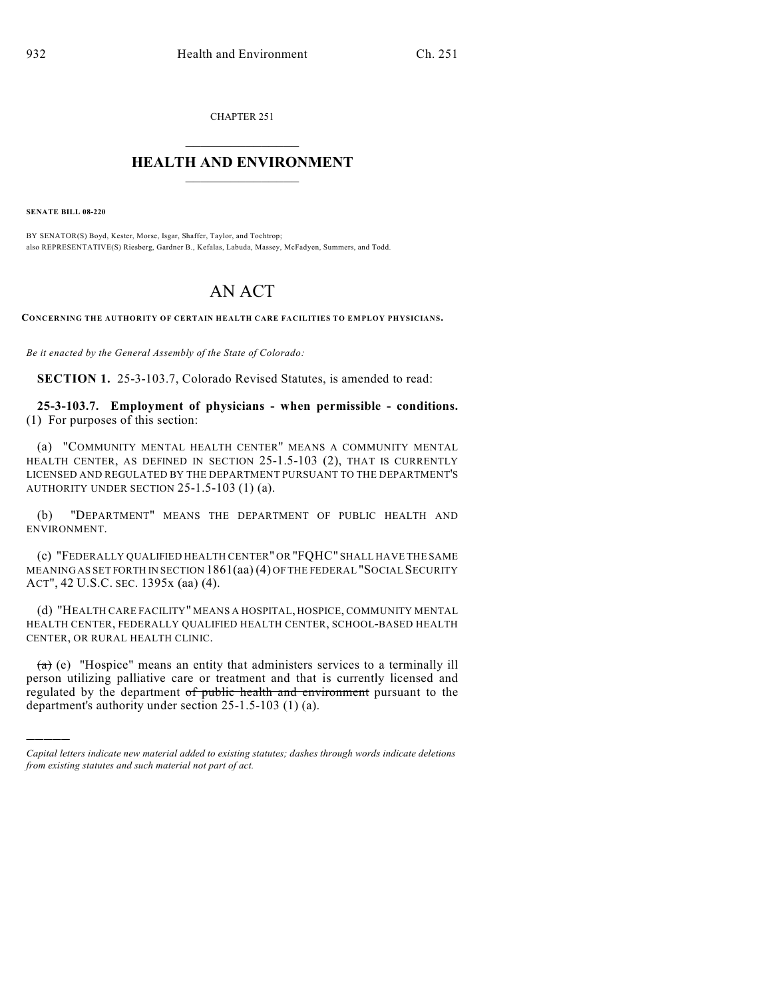CHAPTER 251

## $\overline{\phantom{a}}$  . The set of the set of the set of the set of the set of the set of the set of the set of the set of the set of the set of the set of the set of the set of the set of the set of the set of the set of the set o **HEALTH AND ENVIRONMENT**  $\_$

**SENATE BILL 08-220**

)))))

BY SENATOR(S) Boyd, Kester, Morse, Isgar, Shaffer, Taylor, and Tochtrop; also REPRESENTATIVE(S) Riesberg, Gardner B., Kefalas, Labuda, Massey, McFadyen, Summers, and Todd.

## AN ACT

**CONCERNING THE AUTHORITY OF CERTAIN HEALTH CARE FACILITIES TO EMPLOY PHYSICIANS.**

*Be it enacted by the General Assembly of the State of Colorado:*

**SECTION 1.** 25-3-103.7, Colorado Revised Statutes, is amended to read:

**25-3-103.7. Employment of physicians - when permissible - conditions.** (1) For purposes of this section:

(a) "COMMUNITY MENTAL HEALTH CENTER" MEANS A COMMUNITY MENTAL HEALTH CENTER, AS DEFINED IN SECTION 25-1.5-103 (2), THAT IS CURRENTLY LICENSED AND REGULATED BY THE DEPARTMENT PURSUANT TO THE DEPARTMENT'S AUTHORITY UNDER SECTION 25-1.5-103 (1) (a).

(b) "DEPARTMENT" MEANS THE DEPARTMENT OF PUBLIC HEALTH AND ENVIRONMENT.

(c) "FEDERALLY QUALIFIED HEALTH CENTER" OR "FQHC" SHALL HAVE THE SAME MEANING AS SET FORTH IN SECTION 1861(aa) (4) OF THE FEDERAL "SOCIAL SECURITY ACT", 42 U.S.C. SEC. 1395x (aa) (4).

(d) "HEALTH CARE FACILITY" MEANS A HOSPITAL, HOSPICE, COMMUNITY MENTAL HEALTH CENTER, FEDERALLY QUALIFIED HEALTH CENTER, SCHOOL-BASED HEALTH CENTER, OR RURAL HEALTH CLINIC.

 $(a)$  (e) "Hospice" means an entity that administers services to a terminally ill person utilizing palliative care or treatment and that is currently licensed and regulated by the department of public health and environment pursuant to the department's authority under section 25-1.5-103 (1) (a).

*Capital letters indicate new material added to existing statutes; dashes through words indicate deletions from existing statutes and such material not part of act.*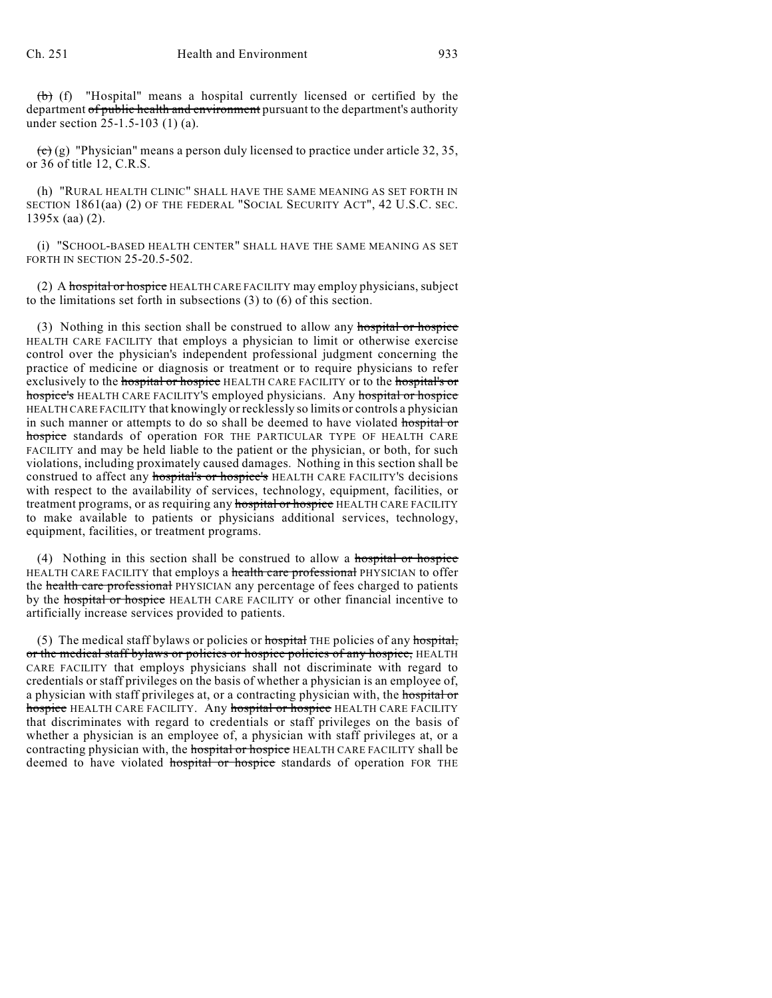(b) (f) "Hospital" means a hospital currently licensed or certified by the department of public health and environment pursuant to the department's authority under section 25-1.5-103 (1) (a).

 $\overline{(c)}$  (g) "Physician" means a person duly licensed to practice under article 32, 35, or 36 of title 12, C.R.S.

(h) "RURAL HEALTH CLINIC" SHALL HAVE THE SAME MEANING AS SET FORTH IN SECTION 1861(aa) (2) OF THE FEDERAL "SOCIAL SECURITY ACT", 42 U.S.C. SEC. 1395x (aa) (2).

(i) "SCHOOL-BASED HEALTH CENTER" SHALL HAVE THE SAME MEANING AS SET FORTH IN SECTION 25-20.5-502.

(2) A hospital or hospice HEALTH CARE FACILITY may employ physicians, subject to the limitations set forth in subsections (3) to (6) of this section.

(3) Nothing in this section shall be construed to allow any hospital or hospice HEALTH CARE FACILITY that employs a physician to limit or otherwise exercise control over the physician's independent professional judgment concerning the practice of medicine or diagnosis or treatment or to require physicians to refer exclusively to the hospital or hospice HEALTH CARE FACILITY or to the hospital's or hospice's HEALTH CARE FACILITY'S employed physicians. Any hospital or hospice HEALTH CARE FACILITY that knowingly or recklessly so limits or controls a physician in such manner or attempts to do so shall be deemed to have violated hospital or hospice standards of operation FOR THE PARTICULAR TYPE OF HEALTH CARE FACILITY and may be held liable to the patient or the physician, or both, for such violations, including proximately caused damages. Nothing in this section shall be construed to affect any hospital's or hospice's HEALTH CARE FACILITY'S decisions with respect to the availability of services, technology, equipment, facilities, or treatment programs, or as requiring any hospital or hospice HEALTH CARE FACILITY to make available to patients or physicians additional services, technology, equipment, facilities, or treatment programs.

(4) Nothing in this section shall be construed to allow a hospital or hospice HEALTH CARE FACILITY that employs a health care professional PHYSICIAN to offer the health care professional PHYSICIAN any percentage of fees charged to patients by the hospital or hospice HEALTH CARE FACILITY or other financial incentive to artificially increase services provided to patients.

(5) The medical staff bylaws or policies or  $\frac{1}{10}$  THE policies of any  $\frac{1}{10}$ , or the medical staff bylaws or policies or hospice policies of any hospice, HEALTH CARE FACILITY that employs physicians shall not discriminate with regard to credentials or staff privileges on the basis of whether a physician is an employee of, a physician with staff privileges at, or a contracting physician with, the hospital or hospice HEALTH CARE FACILITY. Any hospital or hospice HEALTH CARE FACILITY that discriminates with regard to credentials or staff privileges on the basis of whether a physician is an employee of, a physician with staff privileges at, or a contracting physician with, the hospital or hospice HEALTH CARE FACILITY shall be deemed to have violated hospital or hospice standards of operation FOR THE